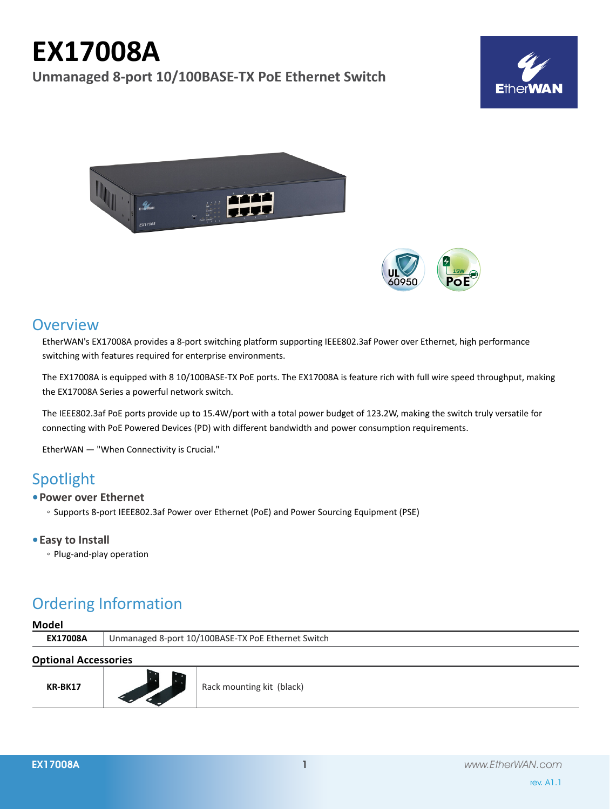# **EX17008A**

**Unmanaged 8-port 10/100BASE-TX PoE Ethernet Switch**







### **Overview**

EtherWAN's EX17008A provides a 8-port switching platform supporting IEEE802.3af Power over Ethernet, high performance switching with features required for enterprise environments.

The EX17008A is equipped with 8 10/100BASE-TX PoE ports. The EX17008A is feature rich with full wire speed throughput, making the EX17008A Series a powerful network switch.

The IEEE802.3af PoE ports provide up to 15.4W/port with a total power budget of 123.2W, making the switch truly versatile for connecting with PoE Powered Devices (PD) with different bandwidth and power consumption requirements.

EtherWAN — "When Connectivity is Crucial."

### Spotlight

#### **• Power over Ethernet**

◦ Supports 8-port IEEE802.3af Power over Ethernet (PoE) and Power Sourcing Equipment (PSE)

#### **• Easy to Install**

◦ Plug-and-play operation

## Ordering Information

#### **Model**

**EX17008A** Unmanaged 8-port 10/100BASE-TX PoE Ethernet Switch

#### **Optional Accessories**

| <b>KR-BK17</b> |  | Rack mounting kit (black) |
|----------------|--|---------------------------|
|----------------|--|---------------------------|